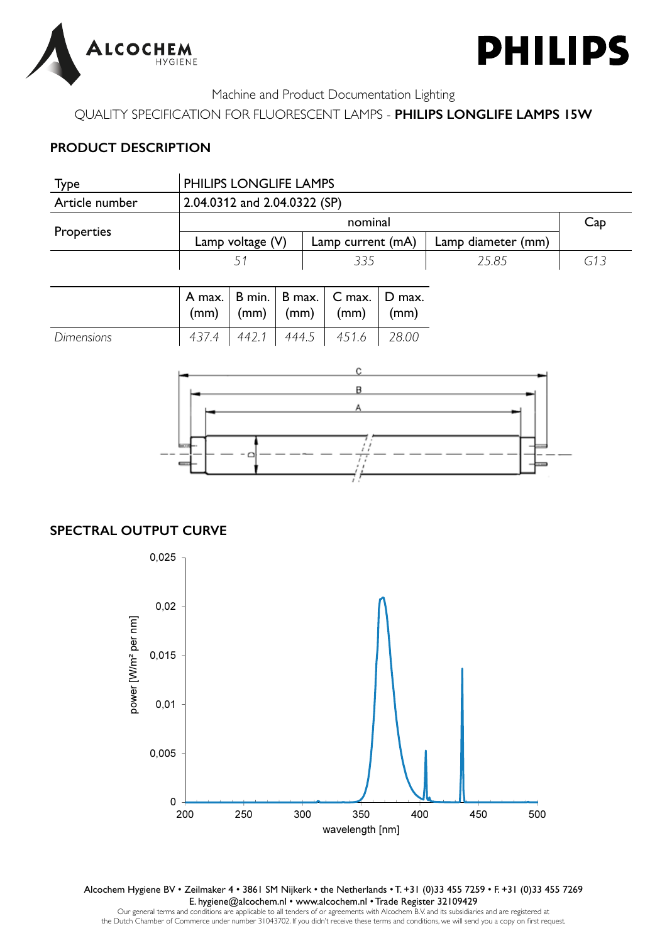



QUALITY SPECIFICATION FOR FLUORESCENT LAMPS - **PHILIPS LONGLIFE LAMPS 15W**

## **PRODUCT DESCRIPTION**

| <b>Type</b>       | PHILIPS LONGLIFE LAMPS       |        |        |                   |          |        |                    |     |
|-------------------|------------------------------|--------|--------|-------------------|----------|--------|--------------------|-----|
| Article number    | 2.04.0312 and 2.04.0322 (SP) |        |        |                   |          |        |                    |     |
|                   | nominal                      |        |        |                   |          |        |                    |     |
| Properties        | Lamp voltage $(V)$           |        |        | Lamp current (mA) |          |        | Lamp diameter (mm) |     |
|                   | 51                           |        |        | 335               |          |        | 25.85              | G13 |
|                   |                              |        |        |                   |          |        |                    |     |
|                   | A max.                       | B min. | B max. |                   | $C$ max. | D max. |                    |     |
|                   | (mm)                         | (mm)   | (mm)   |                   | (mm)     | (mm)   |                    |     |
| <b>Dimensions</b> | 437.4                        | 442.1  | 444.5  |                   | 451.6    | 28.00  |                    |     |



## **SPECTRAL OUTPUT CURVE**



Alcochem Hygiene BV • Zeilmaker 4 • 3861 SM Nijkerk • the Netherlands • T. +31 (0)33 455 7259 • F. +31 (0)33 455 7269 E. hygiene@alcochem.nl • www.alcochem.nl • Trade Register 32109429

Our general terms and conditions are applicable to all tenders of or agreements with Alcochem B.V. and its subsidiaries and are registered at the Dutch Chamber of Commerce under number 31043702. If you didn't receive these terms and conditions, we will send you a copy on first request.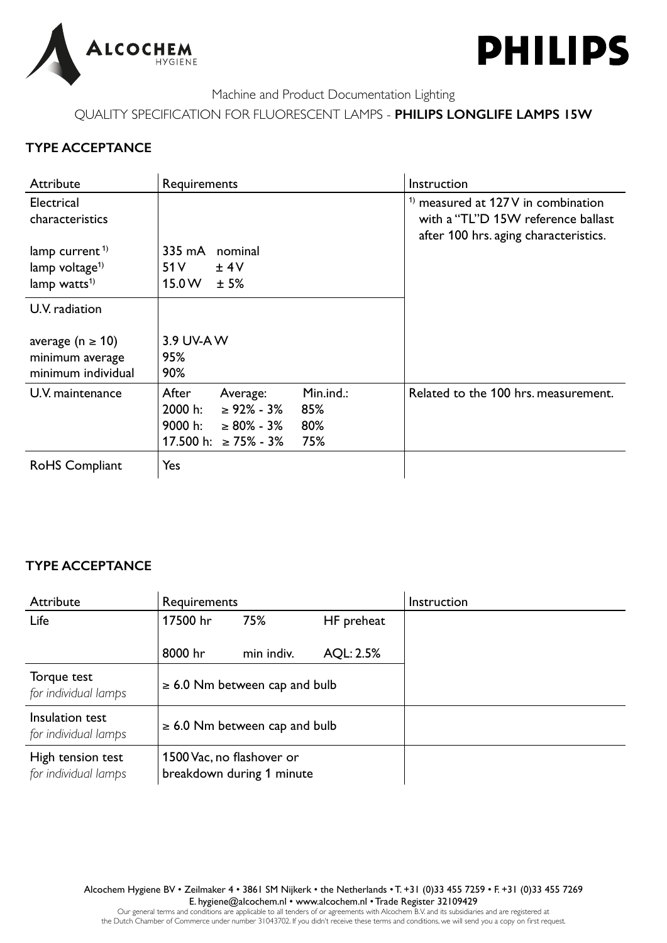



QUALITY SPECIFICATION FOR FLUORESCENT LAMPS - **PHILIPS LONGLIFE LAMPS 15W**

## **TYPE ACCEPTANCE**

| Attribute                                                       | Requirements                        | Instruction                                                                                                        |  |  |  |
|-----------------------------------------------------------------|-------------------------------------|--------------------------------------------------------------------------------------------------------------------|--|--|--|
| Electrical<br>characteristics                                   |                                     | $1$ measured at 127V in combination<br>with a "TL"D 15W reference ballast<br>after 100 hrs. aging characteristics. |  |  |  |
| lamp current <sup>1)</sup>                                      | nominal<br>335 mA                   |                                                                                                                    |  |  |  |
| lamp voltage $1$                                                | 51 V<br>± 4V                        |                                                                                                                    |  |  |  |
| lamp watts <sup>1)</sup>                                        | 15.0 W<br>±5%                       |                                                                                                                    |  |  |  |
| U.V. radiation                                                  |                                     |                                                                                                                    |  |  |  |
| average ( $n \ge 10$ )<br>minimum average<br>minimum individual | 3.9 UV-AW<br>95%<br>90%             |                                                                                                                    |  |  |  |
| U.V. maintenance                                                | Min.ind.:<br>After<br>Average:      | Related to the 100 hrs. measurement.                                                                               |  |  |  |
|                                                                 | 2000 h:<br>$\geq 92\% - 3\%$<br>85% |                                                                                                                    |  |  |  |
|                                                                 | 9000 h:<br>$\geq 80\% - 3\%$<br>80% |                                                                                                                    |  |  |  |
|                                                                 | 17.500 h: ≥ 75% - 3%<br>75%         |                                                                                                                    |  |  |  |
| RoHS Compliant                                                  | Yes                                 |                                                                                                                    |  |  |  |

# **TYPE ACCEPTANCE**

| Attribute                                 | Requirements |                                                        |            | Instruction |
|-------------------------------------------|--------------|--------------------------------------------------------|------------|-------------|
| Life                                      | 17500 hr     | 75%                                                    | HF preheat |             |
|                                           | 8000 hr      | min indiv.                                             | AQL: 2.5%  |             |
| Torque test<br>for individual lamps       |              | $\geq$ 6.0 Nm between cap and bulb                     |            |             |
| Insulation test<br>for individual lamps   |              | $\geq$ 6.0 Nm between cap and bulb                     |            |             |
| High tension test<br>for individual lamps |              | 1500 Vac, no flashover or<br>breakdown during 1 minute |            |             |

Alcochem Hygiene BV • Zeilmaker 4 • 3861 SM Nijkerk • the Netherlands • T. +31 (0)33 455 7259 • F. +31 (0)33 455 7269 E. hygiene@alcochem.nl • www.alcochem.nl • Trade Register 32109429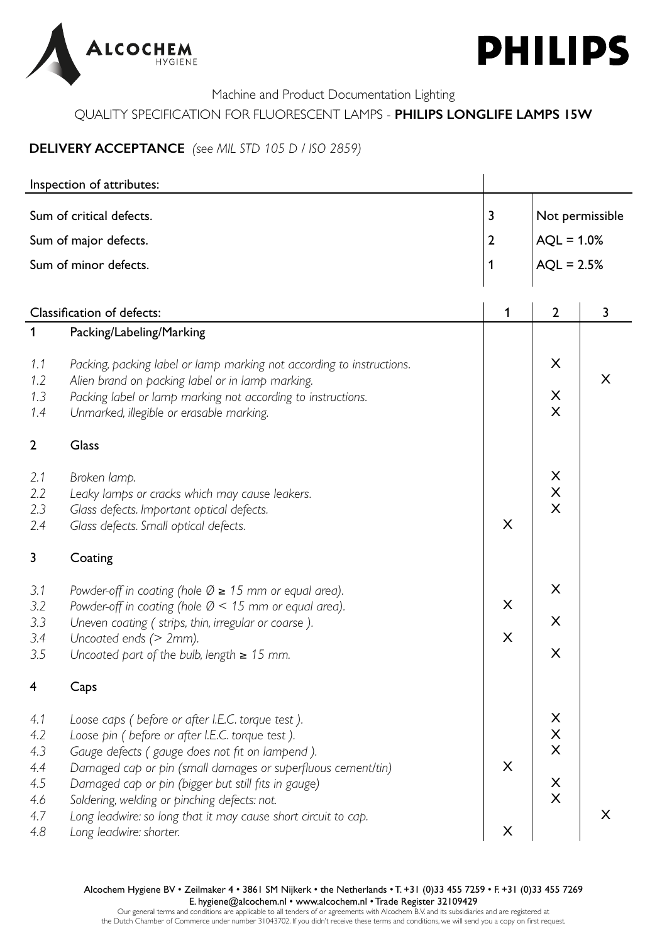



## QUALITY SPECIFICATION FOR FLUORESCENT LAMPS - **PHILIPS LONGLIFE LAMPS 15W**

# **DELIVERY ACCEPTANCE** *(see MIL STD 105 D / ISO 2859)*

|                                                      | Inspection of attributes:                                                                                                                                                                                                                                                                                                                                                                                                     |                |                                                         |   |
|------------------------------------------------------|-------------------------------------------------------------------------------------------------------------------------------------------------------------------------------------------------------------------------------------------------------------------------------------------------------------------------------------------------------------------------------------------------------------------------------|----------------|---------------------------------------------------------|---|
| $\overline{\mathbf{3}}$<br>Sum of critical defects.  |                                                                                                                                                                                                                                                                                                                                                                                                                               |                | Not permissible                                         |   |
|                                                      | Sum of major defects.                                                                                                                                                                                                                                                                                                                                                                                                         | $\overline{2}$ | $AQL = 1.0%$                                            |   |
|                                                      | Sum of minor defects.                                                                                                                                                                                                                                                                                                                                                                                                         | $\mathbf 1$    | $AQL = 2.5%$                                            |   |
|                                                      |                                                                                                                                                                                                                                                                                                                                                                                                                               |                |                                                         |   |
|                                                      | Classification of defects:                                                                                                                                                                                                                                                                                                                                                                                                    | 1              | $\overline{2}$                                          | 3 |
| $\mathbf 1$                                          | Packing/Labeling/Marking                                                                                                                                                                                                                                                                                                                                                                                                      |                |                                                         |   |
| 1.1<br>1.2<br>1.3<br>1.4                             | Packing, packing label or lamp marking not according to instructions.<br>Alien brand on packing label or in lamp marking.<br>Packing label or lamp marking not according to instructions.<br>Unmarked, illegible or erasable marking.                                                                                                                                                                                         |                | X<br>X<br>$\overline{\mathsf{X}}$                       | X |
| $\overline{2}$                                       | <b>Glass</b>                                                                                                                                                                                                                                                                                                                                                                                                                  |                |                                                         |   |
| 2.1<br>2.2<br>2.3<br>2.4                             | Broken lamp.<br>Leaky lamps or cracks which may cause leakers.<br>Glass defects. Important optical defects.<br>Glass defects. Small optical defects.                                                                                                                                                                                                                                                                          | X              | X<br>$\overline{\mathsf{X}}$<br>$\overline{\mathsf{X}}$ |   |
| 3                                                    | Coating                                                                                                                                                                                                                                                                                                                                                                                                                       |                |                                                         |   |
| 3.1<br>3.2<br>3.3<br>3.4<br>3.5                      | Powder-off in coating (hole $\emptyset \geq 15$ mm or equal area).<br>Powder-off in coating (hole $\varnothing$ < 15 mm or equal area).<br>Uneven coating ( strips, thin, irregular or coarse ).<br>Uncoated ends (> 2mm).<br>Uncoated part of the bulb, length $\geq 15$ mm.                                                                                                                                                 | X<br>X         | X<br>X<br>X                                             |   |
| 4                                                    | Caps                                                                                                                                                                                                                                                                                                                                                                                                                          |                |                                                         |   |
| 4.1<br>4.2<br>4.3<br>4.4<br>4.5<br>4.6<br>4.7<br>4.8 | Loose caps ( before or after I.E.C. torque test ).<br>Loose pin ( before or after I.E.C. torque test ).<br>Gauge defects (gauge does not fit on lampend).<br>Damaged cap or pin (small damages or superfluous cement/tin)<br>Damaged cap or pin (bigger but still fits in gauge)<br>Soldering, welding or pinching defects: not.<br>Long leadwire: so long that it may cause short circuit to cap.<br>Long leadwire: shorter. | X<br>X         | X<br>$\times$<br>$\mathsf{X}$<br>X<br>X                 | X |

Alcochem Hygiene BV • Zeilmaker 4 • 3861 SM Nijkerk • the Netherlands • T. +31 (0)33 455 7259 • F. +31 (0)33 455 7269 E. hygiene@alcochem.nl • www.alcochem.nl • Trade Register 32109429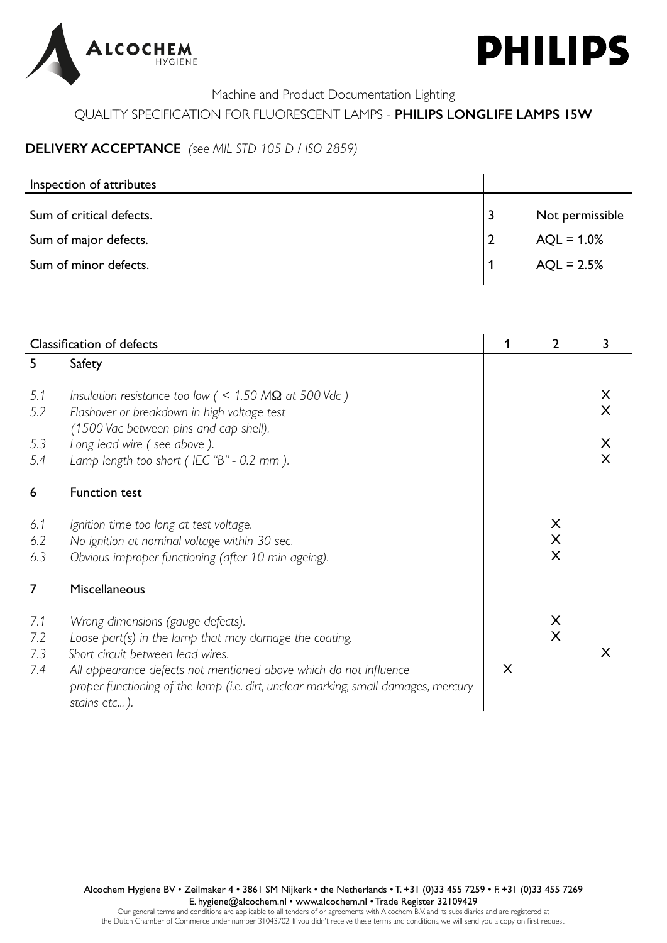



## QUALITY SPECIFICATION FOR FLUORESCENT LAMPS - **PHILIPS LONGLIFE LAMPS 15W**

## **DELIVERY ACCEPTANCE** *(see MIL STD 105 D / ISO 2859)*

| Inspection of attributes |                 |
|--------------------------|-----------------|
| Sum of critical defects. | Not permissible |
| Sum of major defects.    | $AC = 1.0%$     |
| Sum of minor defects.    | $AC = 2.5%$     |

| <b>Classification of defects</b> |                                                                                                    |   | $\overline{2}$ | 3 |
|----------------------------------|----------------------------------------------------------------------------------------------------|---|----------------|---|
| 5                                | Safety                                                                                             |   |                |   |
| 5.1                              | Insulation resistance too low ( $\leq$ 1.50 M $\Omega$ at 500 Vdc )                                |   |                | X |
| 5.2                              | Flashover or breakdown in high voltage test<br>(1500 Vac between pins and cap shell).              |   |                | X |
| 5.3                              | Long lead wire (see above).                                                                        |   |                | X |
| 5.4                              | Lamp length too short (IEC "B" - 0.2 mm).                                                          |   |                | X |
| 6                                | <b>Function test</b>                                                                               |   |                |   |
| 6.1                              | Ignition time too long at test voltage.                                                            |   | X              |   |
| 6.2                              | No ignition at nominal voltage within 30 sec.                                                      |   | X<br>X         |   |
| 6.3                              | Obvious improper functioning (after 10 min ageing).                                                |   |                |   |
| $\overline{7}$                   | Miscellaneous                                                                                      |   |                |   |
| 7.1                              | Wrong dimensions (gauge defects).                                                                  |   | X              |   |
| 7.2                              | Loose part(s) in the lamp that may damage the coating.                                             |   | X              |   |
| 7.3                              | Short circuit between lead wires.                                                                  |   |                | X |
| 7.4                              | All appearance defects not mentioned above which do not influence                                  | X |                |   |
|                                  | proper functioning of the lamp (i.e. dirt, unclear marking, small damages, mercury<br>stains etc). |   |                |   |

Alcochem Hygiene BV • Zeilmaker 4 • 3861 SM Nijkerk • the Netherlands • T. +31 (0)33 455 7259 • F. +31 (0)33 455 7269 E. hygiene@alcochem.nl • www.alcochem.nl • Trade Register 32109429

Our general terms and conditions are applicable to all tenders of or agreements with Alcochem B.V. and its subsidiaries and are registered at the Dutch Chamber of Commerce under number 31043702. If you didn't receive these terms and conditions, we will send you a copy on first request.